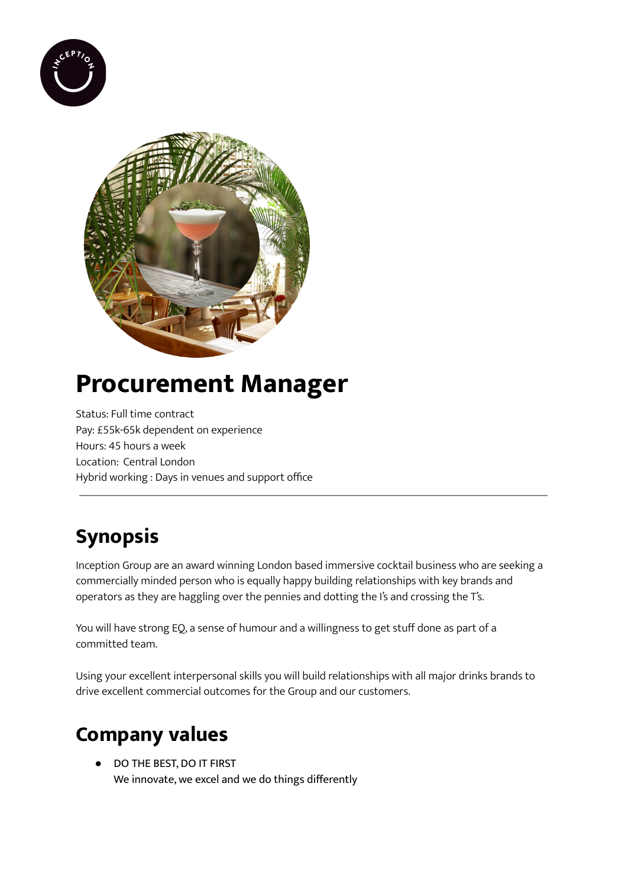



# **Procurement Manager**

Status: Full time contract Pay: £55k-65k dependent on experience Hours: 45 hours a week Location: Central London Hybrid working : Days in venues and support office

## **Synopsis**

Inception Group are an award winning London based immersive cocktail business who are seeking a commercially minded person who is equally happy building relationships with key brands and operators as they are haggling over the pennies and dotting the I's and crossing the T's.

You will have strong EQ, a sense of humour and a willingness to get stuff done as part of a committed team.

Using your excellent interpersonal skills you will build relationships with all major drinks brands to drive excellent commercial outcomes for the Group and our customers.

### **Company values**

● DO THE BEST, DO IT FIRST We innovate, we excel and we do things differently